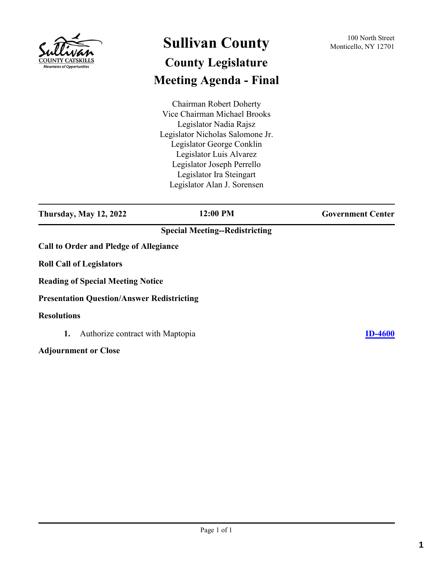

## **Sullivan County** 100 North Street 100 North Street **County Legislature Meeting Agenda - Final**

Chairman Robert Doherty Vice Chairman Michael Brooks Legislator Nadia Rajsz Legislator Nicholas Salomone Jr. Legislator George Conklin Legislator Luis Alvarez Legislator Joseph Perrello Legislator Ira Steingart Legislator Alan J. Sorensen

**Thursday, May 12, 2022 12:00 PM Government Center**

## **Special Meeting--Redistricting**

**Call to Order and Pledge of Allegiance**

**Roll Call of Legislators**

**Reading of Special Meeting Notice**

**Presentation Question/Answer Redistricting**

## **Resolutions**

**1.** Authorize contract with Maptopia **[ID-4600](http://sullivancountyny.legistar.com/gateway.aspx?m=l&id=/matter.aspx?key=1626)**

**Adjournment or Close**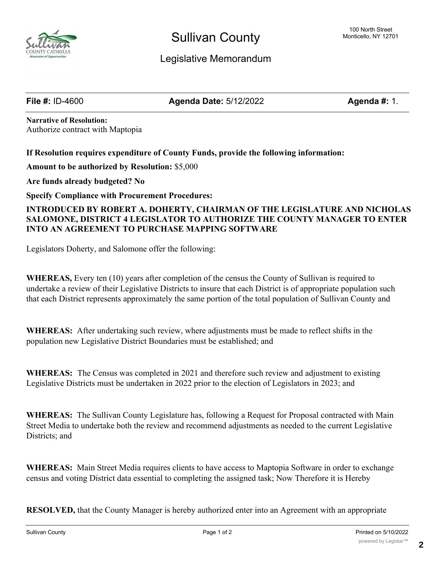

**File #:** ID-4600 **Agenda Date:** 5/12/2022 **Agenda #:** 1.

**Narrative of Resolution:** Authorize contract with Maptopia

**If Resolution requires expenditure of County Funds, provide the following information:**

**Amount to be authorized by Resolution:** \$5,000

**Are funds already budgeted? No**

**Specify Compliance with Procurement Procedures:**

**INTRODUCED BY ROBERT A. DOHERTY, CHAIRMAN OF THE LEGISLATURE AND NICHOLAS SALOMONE, DISTRICT 4 LEGISLATOR TO AUTHORIZE THE COUNTY MANAGER TO ENTER INTO AN AGREEMENT TO PURCHASE MAPPING SOFTWARE**

Legislators Doherty, and Salomone offer the following:

**WHEREAS,** Every ten (10) years after completion of the census the County of Sullivan is required to undertake a review of their Legislative Districts to insure that each District is of appropriate population such that each District represents approximately the same portion of the total population of Sullivan County and

**WHEREAS:** After undertaking such review, where adjustments must be made to reflect shifts in the population new Legislative District Boundaries must be established; and

**WHEREAS:** The Census was completed in 2021 and therefore such review and adjustment to existing Legislative Districts must be undertaken in 2022 prior to the election of Legislators in 2023; and

**WHEREAS:** The Sullivan County Legislature has, following a Request for Proposal contracted with Main Street Media to undertake both the review and recommend adjustments as needed to the current Legislative Districts; and

**WHEREAS:** Main Street Media requires clients to have access to Maptopia Software in order to exchange census and voting District data essential to completing the assigned task; Now Therefore it is Hereby

**RESOLVED,** that the County Manager is hereby authorized enter into an Agreement with an appropriate